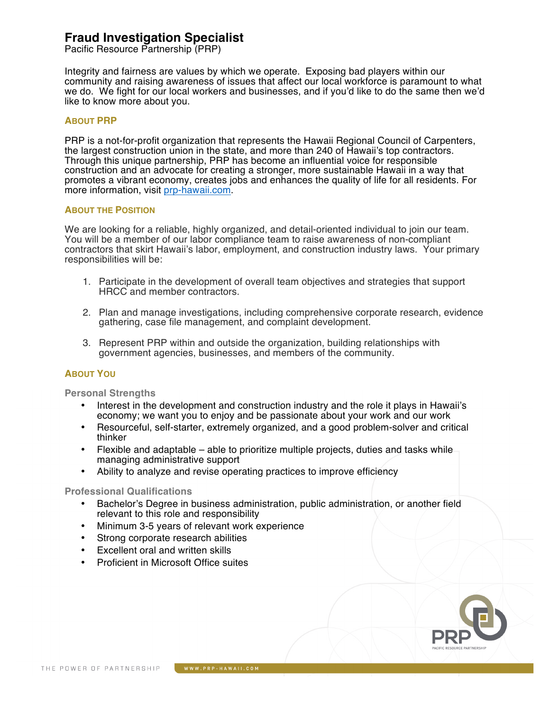# **Fraud Investigation Specialist**

Pacific Resource Partnership (PRP)

Integrity and fairness are values by which we operate. Exposing bad players within our community and raising awareness of issues that affect our local workforce is paramount to what we do. We fight for our local workers and businesses, and if you'd like to do the same then we'd like to know more about you.

# **ABOUT PRP**

PRP is a not-for-profit organization that represents the Hawaii Regional Council of Carpenters, the largest construction union in the state, and more than 240 of Hawaii's top contractors. Through this unique partnership, PRP has become an influential voice for responsible construction and an advocate for creating a stronger, more sustainable Hawaii in a way that promotes a vibrant economy, creates jobs and enhances the quality of life for all residents. For more information, visit prp-hawaii.com.

## **ABOUT THE POSITION**

We are looking for a reliable, highly organized, and detail-oriented individual to join our team. You will be a member of our labor compliance team to raise awareness of non-compliant contractors that skirt Hawaii's labor, employment, and construction industry laws. Your primary responsibilities will be:

- 1. Participate in the development of overall team objectives and strategies that support HRCC and member contractors.
- 2. Plan and manage investigations, including comprehensive corporate research, evidence gathering, case file management, and complaint development.
- 3. Represent PRP within and outside the organization, building relationships with government agencies, businesses, and members of the community.

# **ABOUT YOU**

**Personal Strengths** 

- Interest in the development and construction industry and the role it plays in Hawaii's economy; we want you to enjoy and be passionate about your work and our work
- Resourceful, self-starter, extremely organized, and a good problem-solver and critical thinker
- Flexible and adaptable able to prioritize multiple projects, duties and tasks while managing administrative support
- Ability to analyze and revise operating practices to improve efficiency

### **Professional Qualifications**

- Bachelor's Degree in business administration, public administration, or another field relevant to this role and responsibility
- Minimum 3-5 years of relevant work experience
- Strong corporate research abilities
- Excellent oral and written skills
- Proficient in Microsoft Office suites